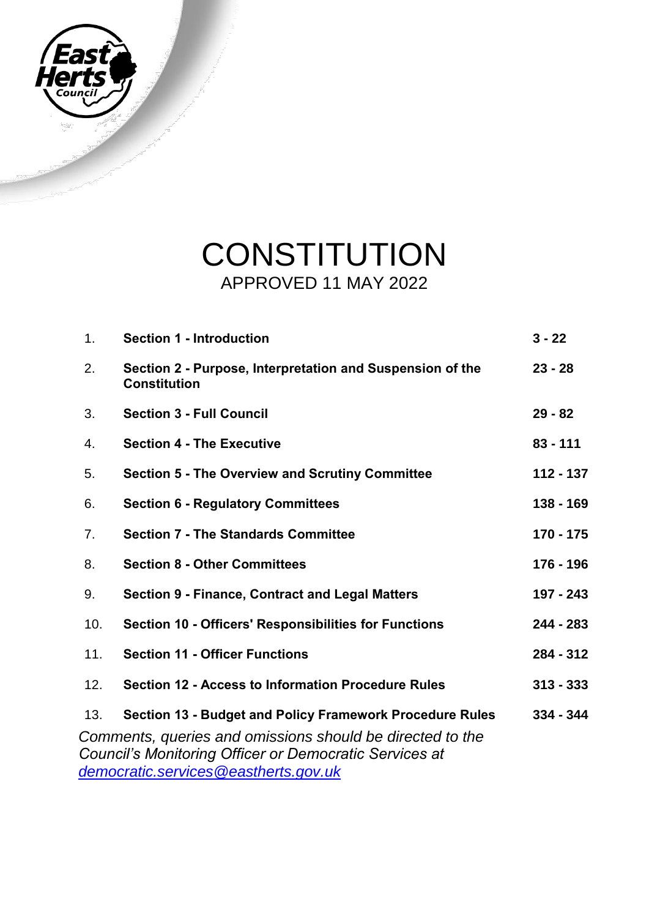

## **CONSTITUTION** APPROVED 11 MAY 2022

| 1.                                                        | <b>Section 1 - Introduction</b>                                                  | $3 - 22$    |  |
|-----------------------------------------------------------|----------------------------------------------------------------------------------|-------------|--|
| 2.                                                        | Section 2 - Purpose, Interpretation and Suspension of the<br><b>Constitution</b> | $23 - 28$   |  |
| 3.                                                        | <b>Section 3 - Full Council</b>                                                  | $29 - 82$   |  |
| 4.                                                        | <b>Section 4 - The Executive</b>                                                 | $83 - 111$  |  |
| 5.                                                        | <b>Section 5 - The Overview and Scrutiny Committee</b>                           | $112 - 137$ |  |
| 6.                                                        | <b>Section 6 - Regulatory Committees</b>                                         | 138 - 169   |  |
| 7.                                                        | <b>Section 7 - The Standards Committee</b>                                       | $170 - 175$ |  |
| 8.                                                        | <b>Section 8 - Other Committees</b>                                              | 176 - 196   |  |
| 9.                                                        | <b>Section 9 - Finance, Contract and Legal Matters</b>                           | 197 - 243   |  |
| 10.                                                       | <b>Section 10 - Officers' Responsibilities for Functions</b>                     | $244 - 283$ |  |
| 11.                                                       | <b>Section 11 - Officer Functions</b>                                            | 284 - 312   |  |
| 12.                                                       | <b>Section 12 - Access to Information Procedure Rules</b>                        | $313 - 333$ |  |
| 13.                                                       | <b>Section 13 - Budget and Policy Framework Procedure Rules</b>                  | $334 - 344$ |  |
| Comments, queries and omissions should be directed to the |                                                                                  |             |  |
| Council's Monitoring Officer or Democratic Services at    |                                                                                  |             |  |
| democratic.services@eastherts.gov.uk                      |                                                                                  |             |  |